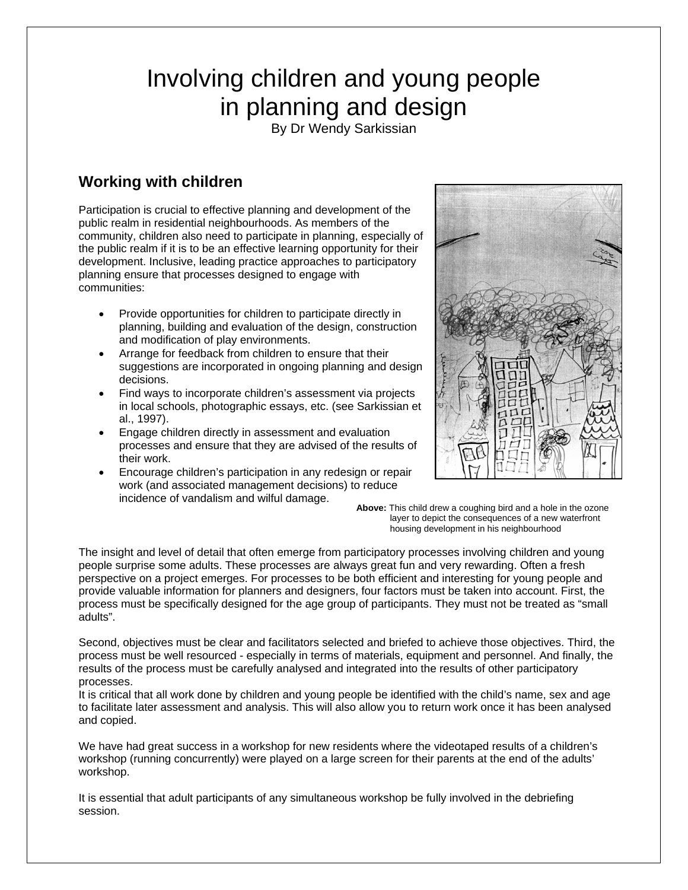# Involving children and young people in planning and design

By Dr Wendy Sarkissian

## **Working with children**

Participation is crucial to effective planning and development of the public realm in residential neighbourhoods. As members of the community, children also need to participate in planning, especially of the public realm if it is to be an effective learning opportunity for their development. Inclusive, leading practice approaches to participatory planning ensure that processes designed to engage with communities:

- Provide opportunities for children to participate directly in planning, building and evaluation of the design, construction and modification of play environments.
- Arrange for feedback from children to ensure that their suggestions are incorporated in ongoing planning and design decisions.
- Find ways to incorporate children's assessment via projects in local schools, photographic essays, etc. (see Sarkissian et al., 1997).
- Engage children directly in assessment and evaluation processes and ensure that they are advised of the results of their work.
- Encourage children's participation in any redesign or repair work (and associated management decisions) to reduce incidence of vandalism and wilful damage.



**Above:** This child drew a coughing bird and a hole in the ozone layer to depict the consequences of a new waterfront housing development in his neighbourhood

The insight and level of detail that often emerge from participatory processes involving children and young people surprise some adults. These processes are always great fun and very rewarding. Often a fresh perspective on a project emerges. For processes to be both efficient and interesting for young people and provide valuable information for planners and designers, four factors must be taken into account. First, the process must be specifically designed for the age group of participants. They must not be treated as "small adults".

Second, objectives must be clear and facilitators selected and briefed to achieve those objectives. Third, the process must be well resourced - especially in terms of materials, equipment and personnel. And finally, the results of the process must be carefully analysed and integrated into the results of other participatory processes.

It is critical that all work done by children and young people be identified with the child's name, sex and age to facilitate later assessment and analysis. This will also allow you to return work once it has been analysed and copied.

We have had great success in a workshop for new residents where the videotaped results of a children's workshop (running concurrently) were played on a large screen for their parents at the end of the adults' workshop.

It is essential that adult participants of any simultaneous workshop be fully involved in the debriefing session.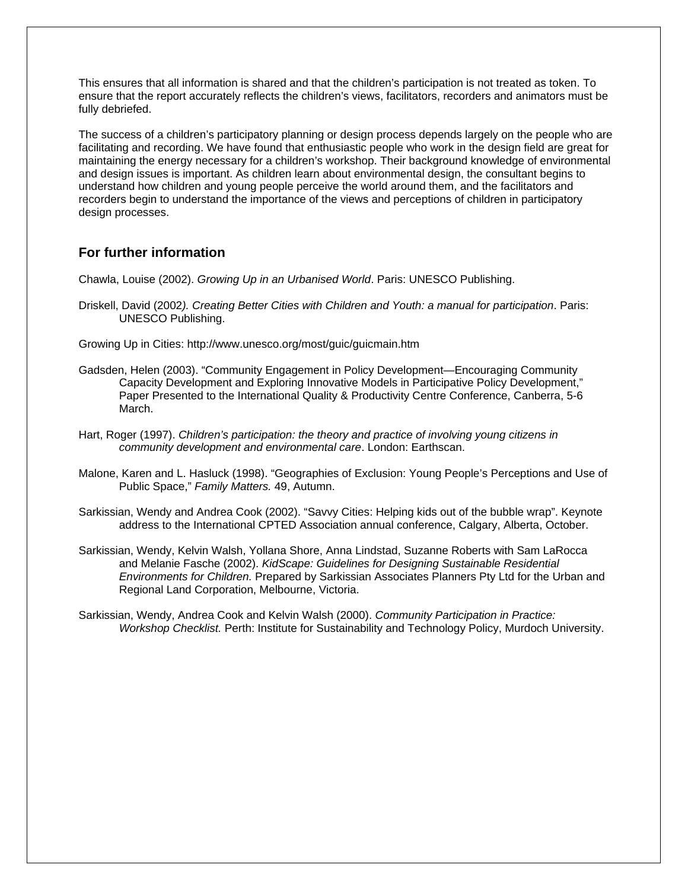This ensures that all information is shared and that the children's participation is not treated as token. To ensure that the report accurately reflects the children's views, facilitators, recorders and animators must be fully debriefed.

The success of a children's participatory planning or design process depends largely on the people who are facilitating and recording. We have found that enthusiastic people who work in the design field are great for maintaining the energy necessary for a children's workshop. Their background knowledge of environmental and design issues is important. As children learn about environmental design, the consultant begins to understand how children and young people perceive the world around them, and the facilitators and recorders begin to understand the importance of the views and perceptions of children in participatory design processes.

#### **For further information**

Chawla, Louise (2002). *Growing Up in an Urbanised World*. Paris: UNESCO Publishing.

- Driskell, David (2002*). Creating Better Cities with Children and Youth: a manual for participation*. Paris: UNESCO Publishing.
- Growing Up in Cities: http://www.unesco.org/most/guic/guicmain.htm
- Gadsden, Helen (2003). "Community Engagement in Policy Development—Encouraging Community Capacity Development and Exploring Innovative Models in Participative Policy Development," Paper Presented to the International Quality & Productivity Centre Conference, Canberra, 5-6 March.
- Hart, Roger (1997). *Children's participation: the theory and practice of involving young citizens in community development and environmental care*. London: Earthscan.
- Malone, Karen and L. Hasluck (1998). "Geographies of Exclusion: Young People's Perceptions and Use of Public Space," *Family Matters.* 49, Autumn.
- Sarkissian, Wendy and Andrea Cook (2002). "Savvy Cities: Helping kids out of the bubble wrap". Keynote address to the International CPTED Association annual conference, Calgary, Alberta, October.
- Sarkissian, Wendy, Kelvin Walsh, Yollana Shore, Anna Lindstad, Suzanne Roberts with Sam LaRocca and Melanie Fasche (2002). *KidScape: Guidelines for Designing Sustainable Residential Environments for Children.* Prepared by Sarkissian Associates Planners Pty Ltd for the Urban and Regional Land Corporation, Melbourne, Victoria.

Sarkissian, Wendy, Andrea Cook and Kelvin Walsh (2000). *Community Participation in Practice: Workshop Checklist.* Perth: Institute for Sustainability and Technology Policy, Murdoch University.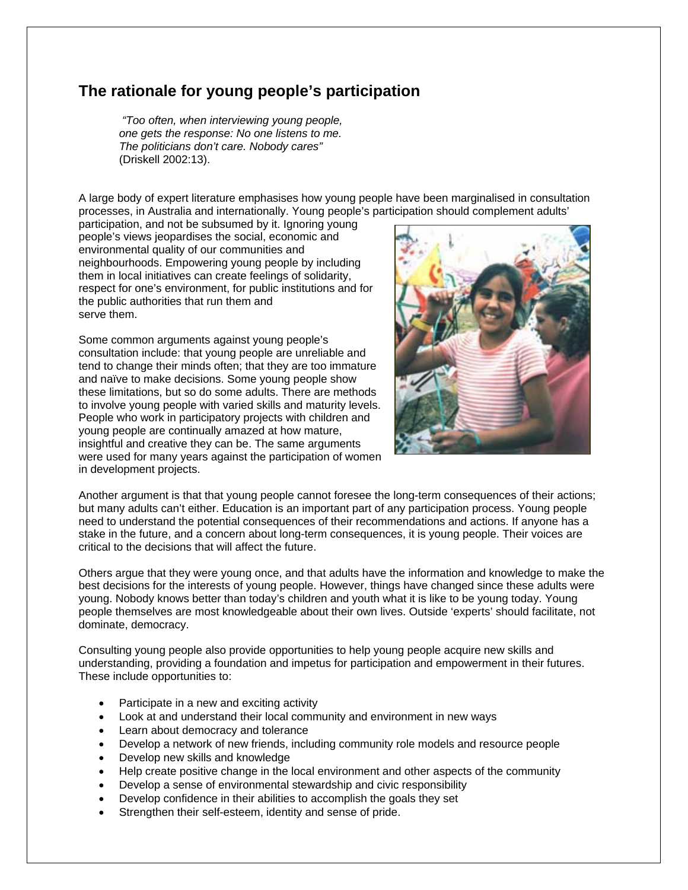### **The rationale for young people's participation**

 *"Too often, when interviewing young people, one gets the response: No one listens to me. The politicians don't care. Nobody cares"*  (Driskell 2002:13).

A large body of expert literature emphasises how young people have been marginalised in consultation processes, in Australia and internationally. Young people's participation should complement adults'

participation, and not be subsumed by it. Ignoring young people's views jeopardises the social, economic and environmental quality of our communities and neighbourhoods. Empowering young people by including them in local initiatives can create feelings of solidarity, respect for one's environment, for public institutions and for the public authorities that run them and serve them.

Some common arguments against young people's consultation include: that young people are unreliable and tend to change their minds often; that they are too immature and naïve to make decisions. Some young people show these limitations, but so do some adults. There are methods to involve young people with varied skills and maturity levels. People who work in participatory projects with children and young people are continually amazed at how mature, insightful and creative they can be. The same arguments were used for many years against the participation of women in development projects.



Another argument is that that young people cannot foresee the long-term consequences of their actions; but many adults can't either. Education is an important part of any participation process. Young people need to understand the potential consequences of their recommendations and actions. If anyone has a stake in the future, and a concern about long-term consequences, it is young people. Their voices are critical to the decisions that will affect the future.

Others argue that they were young once, and that adults have the information and knowledge to make the best decisions for the interests of young people. However, things have changed since these adults were young. Nobody knows better than today's children and youth what it is like to be young today. Young people themselves are most knowledgeable about their own lives. Outside 'experts' should facilitate, not dominate, democracy.

Consulting young people also provide opportunities to help young people acquire new skills and understanding, providing a foundation and impetus for participation and empowerment in their futures. These include opportunities to:

- Participate in a new and exciting activity
- Look at and understand their local community and environment in new ways
- Learn about democracy and tolerance
- Develop a network of new friends, including community role models and resource people
- Develop new skills and knowledge
- Help create positive change in the local environment and other aspects of the community
- Develop a sense of environmental stewardship and civic responsibility
- Develop confidence in their abilities to accomplish the goals they set
- Strengthen their self-esteem, identity and sense of pride.